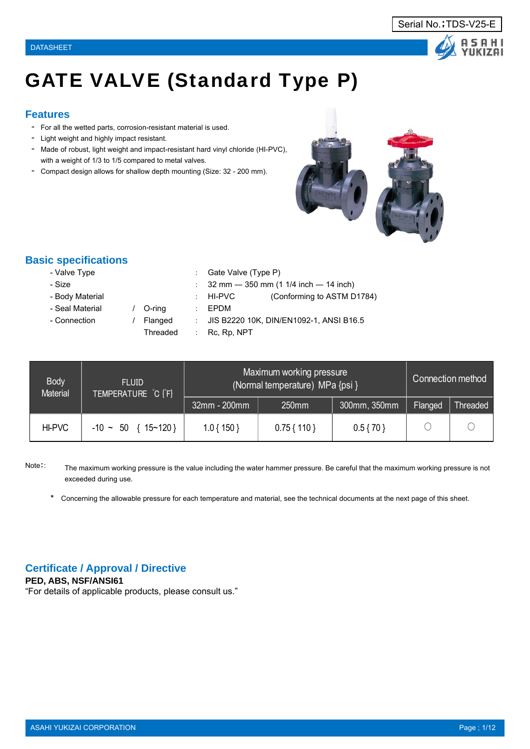# GATE VALVE (Standard Type P)

# **Features**

- For all the wetted parts, corrosion-resistant material is used.
- Light weight and highly impact resistant.
- Made of robust, light weight and impact-resistant hard vinyl chloride (HI-PVC), with a weight of 1/3 to 1/5 compared to metal valves.
- Compact design allows for shallow depth mounting (Size: 32 200 mm).

# **Basic specifications**

- Size : 32 mm 350 mm (1 1/4 inch 14 inch)
- Body Material **interval in the Conforming to ASTM D1784**)
- Seal Material / O-ring : EPDM
- 
- 
- Connection / Flanged : JIS B2220 10K, DIN/EN1092-1, ANSI B16.5

: Gate Valve (Type P)

Threaded : Rc, Rp, NPT

| <b>Body</b><br><b>Material</b> | <b>FLUID</b><br>TEMPERATURE C [F] |              | Maximum working pressure<br>(Normal temperature) MPa {psi } |              | Connection method |          |
|--------------------------------|-----------------------------------|--------------|-------------------------------------------------------------|--------------|-------------------|----------|
|                                |                                   | 32mm - 200mm | 250mm                                                       | 300mm, 350mm | Flanged           | Threaded |
| HI-PVC                         | $-10 \sim 50 \{15 \sim 120\}$     | $1.0\{150\}$ | $0.75\{110\}$                                               | $0.5\{70\}$  |                   |          |

Note:: The maximum working pressure is the value including the water hammer pressure. Be careful that the maximum working pressure is not exceeded during use.

\* Concerning the allowable pressure for each temperature and material, see the technical documents at the next page of this sheet.

# **Certificate / Approval / Directive**

**PED, ABS, NSF/ANSI61**

"For details of applicable products, please consult us."



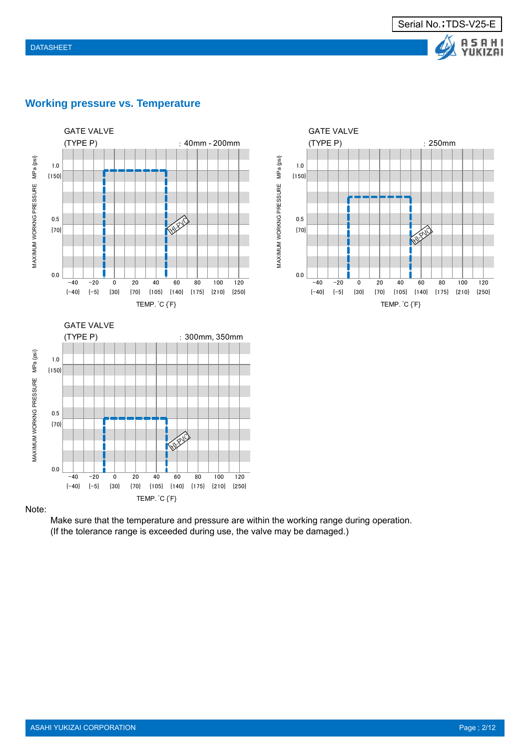



# **Working pressure vs. Temperature**

Note:

Make sure that the temperature and pressure are within the working range during operation. (If the tolerance range is exceeded during use, the valve may be damaged.)

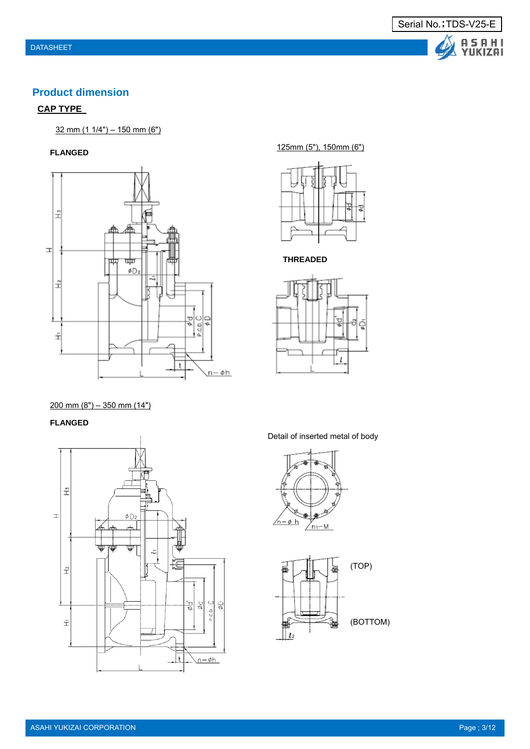

# **Product dimension**

# **CAP TYPE**

32 mm (1 1/4") – 150 mm (6")

### **FLANGED**



125mm (5"), 150mm (6")



### **THREADED**



 $200$  mm  $(8") - 350$  mm  $(14")$ 

### **FLANGED**



Detail of inserted metal of body



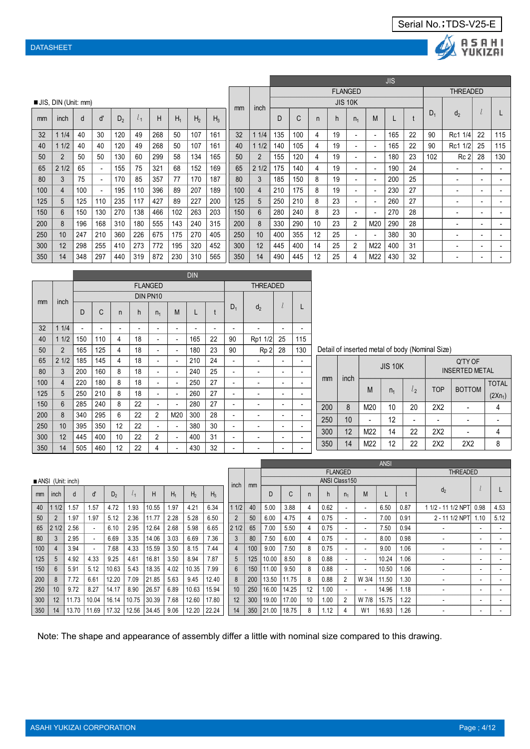



|     |                            |     |                          |                |           |     |       |                |       |     |       |     |     |    |                |                          |                          | <b>JIS</b> |    |       |                          |                          |     |
|-----|----------------------------|-----|--------------------------|----------------|-----------|-----|-------|----------------|-------|-----|-------|-----|-----|----|----------------|--------------------------|--------------------------|------------|----|-------|--------------------------|--------------------------|-----|
|     |                            |     |                          |                |           |     |       |                |       |     |       |     |     |    | <b>FLANGED</b> |                          |                          |            |    |       | <b>THREADED</b>          |                          |     |
|     | <b>JIS, DIN (Unit: mm)</b> |     |                          |                |           |     |       |                |       | mm  | inch  |     |     |    |                | <b>JIS 10K</b>           |                          |            |    |       |                          |                          |     |
| mm  | inch                       | d   | ď                        | D <sub>2</sub> | $\iota_1$ | Н   | $H_1$ | H <sub>2</sub> | $H_3$ |     |       | D   | C   | n  | h              | n <sub>1</sub>           | M                        |            |    | $D_1$ | d <sub>2</sub>           |                          |     |
| 32  | 11/4                       | 40  | 30                       | 120            | 49        | 268 | 50    | 107            | 161   | 32  | 1 1/4 | 135 | 100 | 4  | 19             |                          | $\overline{\phantom{a}}$ | 165        | 22 | 90    | Rc1 1/4                  | 22                       | 115 |
| 40  | 11/2                       | 40  | 40                       | 120            | 49        | 268 | 50    | 107            | 161   | 40  | 11/2  | 140 | 105 | 4  | 19             | $\overline{\phantom{a}}$ | $\overline{\phantom{a}}$ | 165        | 22 | 90    | Rc1 1/2                  | 25                       | 115 |
| 50  |                            | 50  | 50                       | 130            | 60        | 299 | 58    | 134            | 165   | 50  | 2     | 155 | 120 | 4  | 19             |                          | $\overline{\phantom{a}}$ | 180        | 23 | 102   | Rc <sub>2</sub>          | 28                       | 130 |
| 65  | 21/2                       | 65  | $\overline{a}$           | 155            | 75        | 321 | 68    | 152            | 169   | 65  | 21/2  | 175 | 140 | 4  | 19             | $\overline{\phantom{a}}$ | $\overline{\phantom{a}}$ | 190        | 24 |       | ۰                        | ٠                        |     |
| 80  | 3                          | 75  | $\overline{a}$           | 170            | 85        | 357 | 77    | 170            | 187   | 80  | 3     | 185 | 150 | 8  | 19             |                          | $\overline{\phantom{a}}$ | 200        | 25 |       | $\overline{\phantom{a}}$ | $\overline{\phantom{a}}$ |     |
| 100 | 4                          | 100 | $\overline{\phantom{a}}$ | 195            | 110       | 396 | 89    | 207            | 189   | 100 | 4     | 210 | 175 | 8  | 19             |                          | ٠                        | 230        | 27 |       | $\overline{\phantom{a}}$ | $\overline{\phantom{a}}$ |     |
| 125 | 5.                         | 125 | 110                      | 235            | 117       | 427 | 89    | 227            | 200   | 125 | 5     | 250 | 210 | 8  | 23             | $\overline{\phantom{a}}$ | $\overline{\phantom{a}}$ | 260        | 27 |       | ۰                        | $\overline{\phantom{0}}$ |     |
| 150 | 6                          | 150 | 130                      | 270            | 138       | 466 | 102   | 263            | 203   | 150 | 6     | 280 | 240 | 8  | 23             |                          | ٠                        | 270        | 28 |       | $\overline{\phantom{a}}$ | $\overline{\phantom{a}}$ |     |
| 200 | 8                          | 196 | 168                      | 310            | 180       | 555 | 143   | 240            | 315   | 200 | 8     | 330 | 290 | 10 | 23             | 2                        | M20                      | 290        | 28 |       | ۰                        | -                        |     |
| 250 | 10                         | 247 | 210                      | 360            | 226       | 675 | 175   | 270            | 405   | 250 | 10    | 400 | 355 | 12 | 25             |                          | $\overline{\phantom{a}}$ | 380        | 30 |       | ۰                        | $\blacksquare$           |     |
| 300 | 12                         | 298 | 255                      | 410            | 273       | 772 | 195   | 320            | 452   | 300 | 12    | 445 | 400 | 14 | 25             | $\overline{2}$           | M22                      | 400        | 31 |       | $\overline{\phantom{a}}$ | $\overline{\phantom{a}}$ |     |
| 350 | 14                         | 348 | 297                      | 440            | 319       | 872 | 230   | 310            | 565   | 350 | 14    | 490 | 445 | 12 | 25             | 4                        | M22                      | 430        | 32 |       | $\overline{\phantom{a}}$ | -                        |     |

|     |                |     |                          |                          |                          |                          |                          | <b>DIN</b>               |    |                          |                          |                          |                          |
|-----|----------------|-----|--------------------------|--------------------------|--------------------------|--------------------------|--------------------------|--------------------------|----|--------------------------|--------------------------|--------------------------|--------------------------|
|     |                |     |                          |                          |                          | <b>FLANGED</b>           |                          |                          |    |                          | <b>THREADED</b>          |                          |                          |
|     |                |     |                          |                          |                          | DIN PN10                 |                          |                          |    |                          |                          |                          |                          |
| mm  | inch           | D   | C                        | $\mathsf{n}$             | h                        | $n_1$                    | M                        | L                        | t  | $D_1$                    | d <sub>2</sub>           | l                        |                          |
| 32  | 11/4           |     | $\overline{\phantom{a}}$ | $\overline{\phantom{a}}$ | $\overline{\phantom{0}}$ | -                        | $\overline{\phantom{a}}$ | $\overline{\phantom{0}}$ | -  | -                        | $\overline{\phantom{a}}$ | -                        |                          |
| 40  | 11/2           | 150 | 110                      | 4                        | 18                       | -                        | $\overline{\phantom{a}}$ | 165                      | 22 | 90                       | Rp1 1/2                  | 25                       | 115                      |
| 50  | $\overline{2}$ | 165 | 125                      | 4                        | 18                       | -                        | $\overline{\phantom{a}}$ | 180                      | 23 | 90                       | Rp <sub>2</sub>          | 28                       | 130                      |
| 65  | 21/2           | 185 | 145                      | 4                        | 18                       |                          | $\overline{\phantom{a}}$ | 210                      | 24 | $\overline{\phantom{a}}$ |                          | $\overline{\phantom{0}}$ | $\overline{\phantom{a}}$ |
| 80  | 3              | 200 | 160                      | 8                        | 18                       | -                        | $\overline{\phantom{a}}$ | 240                      | 25 | $\overline{\phantom{a}}$ | -                        | $\overline{\phantom{0}}$ |                          |
| 100 | $\overline{4}$ | 220 | 180                      | 8                        | 18                       | -                        | $\overline{\phantom{a}}$ | 250                      | 27 | $\overline{\phantom{a}}$ | $\overline{\phantom{a}}$ | $\overline{\phantom{a}}$ |                          |
| 125 | 5              | 250 | 210                      | 8                        | 18                       | -                        | $\overline{\phantom{a}}$ | 260                      | 27 | $\overline{\phantom{a}}$ | $\overline{\phantom{0}}$ | $\overline{\phantom{0}}$ |                          |
| 150 | $6\phantom{1}$ | 285 | 240                      | 8                        | 22                       | -                        | $\overline{\phantom{0}}$ | 280                      | 27 | -                        | $\overline{\phantom{0}}$ | -                        |                          |
| 200 | 8              | 340 | 295                      | 6                        | 22                       | $\overline{c}$           | M20                      | 300                      | 28 | $\overline{\phantom{a}}$ | $\overline{\phantom{a}}$ | $\overline{\phantom{a}}$ |                          |
| 250 | 10             | 395 | 350                      | 12                       | 22                       | $\overline{\phantom{0}}$ | $\overline{\phantom{0}}$ | 380                      | 30 | $\overline{\phantom{a}}$ | $\overline{a}$           | $\overline{\phantom{0}}$ |                          |
| 300 | 12             | 445 | 400                      | 10                       | 22                       | $\overline{c}$           | $\overline{\phantom{a}}$ | 400                      | 31 | $\overline{\phantom{a}}$ |                          | $\overline{\phantom{a}}$ |                          |
| 350 | 14             | 505 | 460                      | 12                       | 22                       | 4                        | $\overline{\phantom{0}}$ | 430                      | 32 | -                        |                          | $\overline{\phantom{a}}$ |                          |

Detail of inserted metal of body (Nominal Size)

|     |      |     | <b>JIS 10K</b> |         |                 | Q'TY OF<br><b>INSERTED METAL</b> |              |
|-----|------|-----|----------------|---------|-----------------|----------------------------------|--------------|
| mm  | inch | M   | n <sub>1</sub> | $l_{2}$ | <b>TOP</b>      | <b>BOTTOM</b>                    | <b>TOTAL</b> |
|     |      |     |                |         |                 |                                  | $(2Xn_1)$    |
| 200 | 8    | M20 | 10             | 20      | 2X <sub>2</sub> |                                  |              |
| 250 | 10   |     | 12             |         |                 |                                  |              |
| 300 | 12   | M22 | 14             | 22      | 2X2             |                                  |              |
| 350 | 14   | M22 | 12             | 22      | 2X <sub>2</sub> | 2X <sub>2</sub>                  |              |

|     |                   |       |       |                |       |       |       |                |       |                |     |       |       |    |                      |                |                          | ANSI  |      |                          |      |      |
|-----|-------------------|-------|-------|----------------|-------|-------|-------|----------------|-------|----------------|-----|-------|-------|----|----------------------|----------------|--------------------------|-------|------|--------------------------|------|------|
|     |                   |       |       |                |       |       |       |                |       |                |     |       |       |    |                      | <b>FLANGED</b> |                          |       |      | THREADED                 |      |      |
|     | ANSI (Unit: inch) |       |       |                |       |       |       |                |       |                |     |       |       |    | <b>ANSI Class150</b> |                |                          |       |      |                          |      |      |
| mm  | inch              | d     | d     | D <sub>2</sub> | l1    | Н     | $H_1$ | H <sub>2</sub> | $H_3$ | inch           | mm  | D     | C     | n  | h                    | n <sub>1</sub> | M                        |       |      | d <sub>2</sub>           |      |      |
| 40  | 11/2              | 1.57  | 1.57  | 4.72           | 1.93  | 10.55 | 1.97  | 4.21           | 6.34  | 11/2           | 40  | 5.00  | 3.88  | 4  | 0.62                 |                | $\overline{\phantom{0}}$ | 6.50  | 0.87 | 1 1/2 - 11 1/2 NPT       | 0.98 | 4.53 |
| 50  |                   | 1.97  | 1.97  | 5.12           | 2.36  | 1.77  | 2.28  | 5.28           | 6.50  | $\overline{2}$ | 50  | 6.00  | 4.75  | 4  | 0.75                 |                | $\overline{\phantom{0}}$ | 7.00  | 0.91 | 2 - 11 1/2 NPT           | 1.10 | 5.12 |
| 65  | 21/2              | 2.56  |       | 6.10           | 2.95  | 12.64 | 2.68  | 5.98           | 6.65  | 21/2           | 65  | 7.00  | 5.50  | 4  | 0.75                 |                | $\overline{\phantom{0}}$ | 7.50  | 0.94 |                          |      |      |
| 80  |                   | 2.95  |       | 6.69           | 3.35  | 14.06 | 3.03  | 6.69           | 7.36  | 3              | 80  | 7.50  | 6.00  | 4  | 0.75                 |                | $\overline{\phantom{a}}$ | 8.00  | 0.98 |                          | -    |      |
| 100 | 4                 | 3.94  |       | 7.68           | 4.33  | 15.59 | 3.50  | 8.15           | 7.44  | 4              | 100 | 9.00  | 7.50  | 8  | 0.75                 |                | $\overline{\phantom{0}}$ | 9.00  | 1.06 | ۰                        |      |      |
| 125 | 5                 | 4.92  | 4.33  | 9.25           | 4.61  | 16.81 | 3.50  | 8.94           | 7.87  | 5              | 125 | 10.00 | 8.50  | 8  | 0.88                 |                | $\overline{a}$           | 10.24 | 1.06 | $\overline{\phantom{0}}$ | ٠    |      |
| 150 | 6                 | 5.91  | 5.12  | 10.63          | 5.43  | 18.35 | 4.02  | 10.35          | 7.99  | 6              | 150 | 11.00 | 9.50  | 8  | 0.88                 | $\sim$         | $\overline{\phantom{0}}$ | 10.50 | 1.06 |                          | ۰    |      |
| 200 | 8                 | 7.72  | 6.61  | 12.20          | 7.09  | 21.85 | 5.63  | 9.45           | 12.40 | 8              | 200 | 13.50 | 11.75 | 8  | 0.88                 | $\overline{2}$ | W 3/4                    | 11.50 | l.30 | $\overline{\phantom{0}}$ | -    |      |
| 250 | 10                | 9.72  | 8.27  | 14.17          | 8.90  | 26.57 | 6.89  | 10.63          | 15.94 | 10             | 250 | 16.00 | 14.25 | 12 | 1.00                 |                | $\overline{\phantom{0}}$ | 14.96 | 1.18 |                          | -    |      |
| 300 | 12                | 11.73 | 10.04 | 16.14          | 10.75 | 30.39 | 7.68  | 12.60          | 17.80 | 12             | 300 | 19.00 | 17.00 | 10 | 1.00                 |                | W 7/8                    | 15.75 | .22  | ٠                        | -    |      |
| 350 | 14                | 13.70 | 11.69 | 17.32          | 12.56 | 34.45 | 9.06  | 12.20          | 22.24 | 14             | 350 | 21.00 | 18.75 | 8  | 1.12                 |                | W <sub>1</sub>           | 16.93 | .26  |                          | -    |      |

Note: The shape and appearance of assembly differ a little with nominal size compared to this drawing.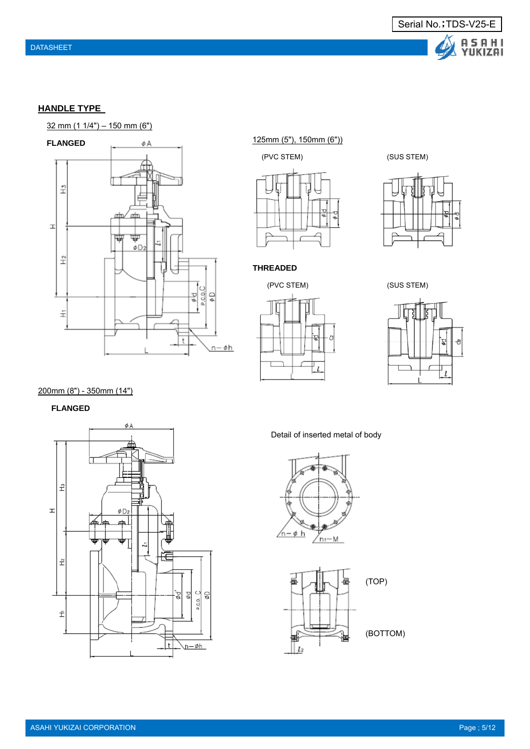

### **HANDLE TYPE**





125mm (5"), 150mm (6"))







**THREADED**





### 200mm (8") - 350mm (14")

**FLANGED** 



Detail of inserted metal of body



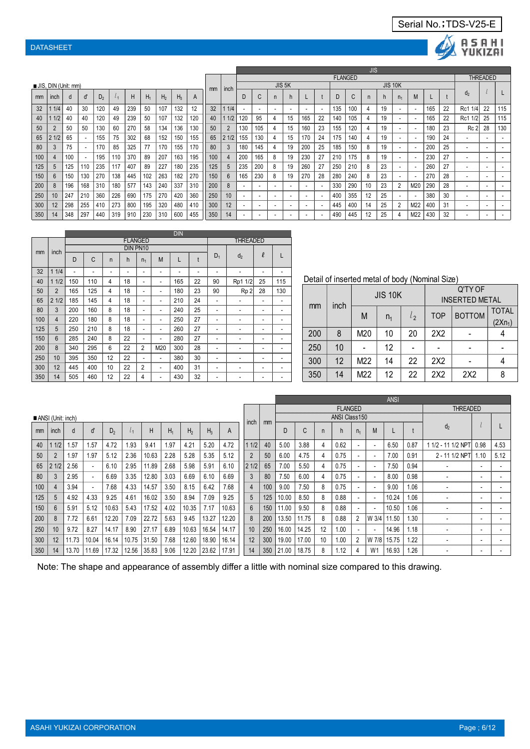



|     |                     |     |                          |     |     |     |       |                |       |              |     |      |     |     |                    |                          |     |                          |                |                 | JIS |                |                          |     |     |    |                 |                 |                          |
|-----|---------------------|-----|--------------------------|-----|-----|-----|-------|----------------|-------|--------------|-----|------|-----|-----|--------------------|--------------------------|-----|--------------------------|----------------|-----------------|-----|----------------|--------------------------|-----|-----|----|-----------------|-----------------|--------------------------|
|     |                     |     |                          |     |     |     |       |                |       |              |     |      |     |     |                    |                          |     |                          | <b>FLANGED</b> |                 |     |                |                          |     |     |    |                 | <b>THREADED</b> |                          |
|     | JIS, DIN (Unit: mm) |     |                          |     |     |     |       |                |       |              | mm  | inch |     |     | JIS <sub>5</sub> K |                          |     |                          |                |                 |     | <b>JIS 10K</b> |                          |     |     |    |                 |                 |                          |
| mm  | inch                | d   | $\mathfrak{c}$           | D,  |     | H   | $H_1$ | H <sub>2</sub> | $H_3$ | $\mathsf{A}$ |     |      |     | Ü   | n                  | h                        |     |                          |                | $\sqrt{2}$<br>Ü | n   | n              | n <sub>1</sub>           | M   |     |    | d <sub>2</sub>  |                 |                          |
| 32  | 1/4                 | 40  | 30                       | 120 | 49  | 239 | 50    | 107            | 132   | 12           | 32  | 1/4  |     |     | ۰.                 | $\overline{\phantom{a}}$ |     | ۰.                       | 135            | 100             | 4   | 19             | $\overline{\phantom{a}}$ |     | 165 | 22 | Rc1 1/4         | 22              | 115                      |
| 40  | 1/2                 | 40  | 40                       | 120 | 49  | 239 | 50    | 107            | 132   | 120          | 40  | 1/2  | 120 | 95  | 4                  | 15                       | 165 | 22                       | 140            | 105             | 4   | 19             | ۰                        |     | 165 | 22 | 1/21<br>Rc1     | 25              | 115                      |
| 50  |                     | 50  | 50                       | 130 | 60  | 270 | 58    | 134            | 136   | 130          | 50  |      | 130 | 105 |                    | 15                       | 160 | 23                       | 155            | 120             | 4   | 19             | $\overline{\phantom{a}}$ |     | 180 | 23 | Rc <sub>2</sub> | 28              | 130                      |
| 65  | 1/2                 | 65  | $\overline{\phantom{a}}$ | 155 | 75  | 302 | 68    | 152            | 150   | 155          | 65  | 21/2 | 155 | 130 |                    | 15                       | 170 | 24                       | 175            | 140             | 4   | 19             | $\overline{\phantom{a}}$ |     | 190 | 24 | ۰.              |                 |                          |
| 80  |                     | 75  |                          | 170 | 85  | 325 | 77    | 170            | 155   | 170          | 80  |      | 180 | 145 |                    | 19                       | 200 | 25                       | 185            | 150             | 8   | 19             | $\overline{\phantom{a}}$ |     | 200 | 25 | ۰.              |                 |                          |
| 100 |                     | 100 | $\overline{\phantom{a}}$ | 195 | 110 | 370 | 89    | 207            | 163   | 195          | 100 |      | 200 | 165 | 8                  | 19                       | 230 | 27                       | 210            | 175             | 8   | 19             |                          |     | 230 | 27 |                 |                 |                          |
| 125 |                     | 125 | 110                      | 235 | 117 | 407 | 89    | 227            | 180   | 235          | 125 |      | 235 | 200 | 8                  | 19                       | 260 | 27                       | 250            | 210             | 8   | 23             |                          |     | 260 | 27 |                 |                 |                          |
| 150 | 6                   | 150 | 130                      | 270 | 138 | 445 | 102   | 263            | 182   | 270          | 150 | 6    | 165 | 230 | 8                  | 19                       | 270 | 28                       | 280            | 240             | 8   | 23             | ۰                        |     | 270 | 28 |                 |                 |                          |
| 200 | -8                  | 196 | 168                      | 310 | 180 | 577 | 143   | 240            | 337   | 310          | 200 | 8    |     |     |                    | $\overline{\phantom{a}}$ |     | $\overline{\phantom{a}}$ | 330            | 290             | 10  | 23             | $\overline{2}$           | M20 | 290 | 28 |                 |                 |                          |
| 250 | 10                  | 247 | 210                      | 360 | 226 | 690 | 175   | 270            | 420   | 360          | 250 | 10   |     |     |                    |                          |     | $\overline{\phantom{a}}$ | 400            | 355             | 12  | 25             | $\overline{\phantom{a}}$ |     | 380 | 30 |                 |                 |                          |
| 300 | 12                  | 298 | 255                      | 410 | 273 | 800 | 195   | 320            | 480   | 410          | 300 | 12   |     |     | ۰.                 | $\overline{\phantom{a}}$ |     | ۰.                       | 445            | 400             | 14  | 25             | $\overline{2}$           | M22 | 400 | 31 |                 |                 |                          |
| 350 | 14                  | 348 | 297                      | 440 | 319 | 910 | 230   | 310            | 600   | 455          | 350 | 14   |     |     |                    | $\overline{\phantom{a}}$ |     | ۰.                       | 490            | 445             | 12  | 25             | 4                        | M22 | 430 | 32 |                 |                 | $\overline{\phantom{a}}$ |

|     |                |     |     |                |    |                |     | <b>DIN</b> |    |       |                 |        |     |
|-----|----------------|-----|-----|----------------|----|----------------|-----|------------|----|-------|-----------------|--------|-----|
|     |                |     |     |                |    | <b>FLANGED</b> |     |            |    |       | <b>THREADED</b> |        |     |
| mm  | inch           |     |     |                |    | DIN PN10       |     |            |    |       |                 |        |     |
|     |                | D   | C   | n              | h  | n <sub>1</sub> | M   | L          | t  | $D_1$ | d <sub>2</sub>  | $\ell$ |     |
| 32  | 11/4           | ٠   |     | ۰              | ۰  | ۰              | ٠   |            | ٠  | ۰     |                 | ۰      |     |
| 40  | 11/2           | 150 | 110 | 4              | 18 | ٠              | ٠   | 165        | 22 | 90    | Rp1 1/2         | 25     | 115 |
| 50  | $\overline{2}$ | 165 | 125 | $\overline{4}$ | 18 | ٠              | ٠   | 180        | 23 | 90    | Rp <sub>2</sub> | 28     | 130 |
| 65  | 21/2           | 185 | 145 | 4              | 18 | ۰              | ٠   | 210        | 24 | ٠     | ۰               | ۰      |     |
| 80  | 3              | 200 | 160 | 8              | 18 | ۰              | ٠   | 240        | 25 | ٠     | ۰               | ۰      |     |
| 100 | $\overline{4}$ | 220 | 180 | 8              | 18 | ٠              | ٠   | 250        | 27 | ۰     |                 | ۰      |     |
| 125 | 5              | 250 | 210 | 8              | 18 | ٠              | ٠   | 260        | 27 | ٠     | ۰               | ٠      | ۰   |
| 150 | 6              | 285 | 240 | 8              | 22 | ۰              | ٠   | 280        | 27 | ۰     |                 | ۰      |     |
| 200 | 8              | 340 | 295 | 6              | 22 | $\overline{2}$ | M20 | 300        | 28 | ٠     |                 | ۰      |     |
| 250 | 10             | 395 | 350 | 12             | 22 | ٠              | ٠   | 380        | 30 | ٠     | ۰               | ٠      | ۰   |
| 300 | 12             | 445 | 400 | 10             | 22 | $\overline{2}$ | ٠   | 400        | 31 | ٠     | ۰               | ۰      |     |
| 350 | 14             | 505 | 460 | 12             | 22 | 4              | ۰   | 430        | 32 |       |                 | ۰      |     |

Detail of inserted metal of body (Nominal Size)

|     |      |     | <b>JIS 10K</b> |         |            | Q'TY OF<br><b>INSERTED METAL</b> |                           |
|-----|------|-----|----------------|---------|------------|----------------------------------|---------------------------|
| mm  | inch | M   | n <sub>1</sub> | $l_{2}$ | <b>TOP</b> | <b>BOTTOM</b>                    | <b>TOTAL</b><br>$(2Xn_1)$ |
| 200 | 8    | M20 | 10             | 20      | 2X2        |                                  |                           |
| 250 | 10   |     | 12             |         |            |                                  |                           |
| 300 | 12   | M22 | 14             | 22      | 2X2        |                                  |                           |
| 350 | 14   | M22 | 12             | 22      | 2X2        | 2X2                              |                           |

|     |                   |       |       |                |       |       |       |                |       |       |                |     |       |       |    |                      |                          |                          | <b>ANSI</b> |      |                          |                          |      |
|-----|-------------------|-------|-------|----------------|-------|-------|-------|----------------|-------|-------|----------------|-----|-------|-------|----|----------------------|--------------------------|--------------------------|-------------|------|--------------------------|--------------------------|------|
|     |                   |       |       |                |       |       |       |                |       |       |                |     |       |       |    | <b>FLANGED</b>       |                          |                          |             |      | <b>THREADED</b>          |                          |      |
|     | ANSI (Unit: inch) |       |       |                |       |       |       |                |       |       | inch           | mm  |       |       |    | <b>ANSI Class150</b> |                          |                          |             |      |                          |                          |      |
| mm  | inch              | d     | ď     | D <sub>2</sub> |       | Н     | $H_1$ | H <sub>2</sub> | $H_3$ | A     |                |     | D     | C     | n  | h                    | n <sub>1</sub>           | M                        |             |      | $d_2$                    |                          |      |
| 40  | 1/2               | 1.57  | 1.57  | 4.72           | 1.93  | 9.41  | 1.97  | 4.21           | 5.20  | 4.72  | 11/2           | 40  | 5.00  | 3.88  | 4  | 0.62                 | $\overline{\phantom{a}}$ | $\overline{\phantom{a}}$ | 6.50        | 0.87 | 1 1/2 - 11 1/2 NPT       | 0.98                     | 4.53 |
| 50  |                   | 1.97  | 1.97  | 5.12           | 2.36  | 10.63 | 2.28  | 5.28           | 5.35  | 5.12  | $\overline{2}$ | 50  | 6.00  | 4.75  | 4  | 0.75                 |                          | $\overline{\phantom{a}}$ | 7.00        | 0.91 | 2 - 11 1/2 NPT           | 1.10                     | 5.12 |
| 65  | 21/2              | 2.56  |       | 6.10           | 2.95  | 11.89 | 2.68  | 5.98           | 5.91  | 6.10  | 21/2           | 65  | 7.00  | 5.50  | 4  | 0.75                 |                          | ٠                        | 7.50        | 0.94 |                          | $\overline{\phantom{a}}$ |      |
| 80  |                   | 2.95  |       | 6.69           | 3.35  | 12.80 | 3.03  | 6.69           | 6.10  | 6.69  | 3              | 80  | 7.50  | 6.00  | 4  | 0.75                 |                          | $\overline{\phantom{a}}$ | 8.00        | 0.98 |                          | $\overline{\phantom{a}}$ |      |
| 100 |                   | 3.94  |       | 7.68           | 4.33  | 14.57 | 3.50  | 8.15           | 6.42  | 7.68  | $\overline{4}$ | 100 | 9.00  | 7.50  | 8  | 0.75                 |                          | $\overline{\phantom{a}}$ | 9.00        | 1.06 |                          | $\overline{\phantom{a}}$ |      |
| 125 | $\mathbf{b}$      | 4.92  | 4.33  | 9.25           | 4.61  | 16.02 | 3.50  | 8.94           | 7.09  | 9.25  | 5              | 125 | 10.00 | 8.50  | 8  | 0.88                 |                          | $\overline{\phantom{a}}$ | 10.24       | 1.06 | $\overline{\phantom{a}}$ | $\overline{\phantom{a}}$ |      |
| 150 | 6                 | 5.91  | 5.12  | 10.63          | 5.43  | 17.52 | 4.02  | 10.35          | 7.17  | 10.63 | 6              | 150 | 11.00 | 9.50  | 8  | 0.88                 |                          | $\overline{\phantom{a}}$ | 10.50       | 1.06 |                          | $\overline{\phantom{a}}$ |      |
| 200 | 8                 | 7.72  | 6.61  | 12.20          | 7.09  | 22.72 | 5.63  | 9.45           | 13.27 | 12.20 | 8              | 200 | 13.50 | 11.75 | 8  | 0.88                 |                          | W 3/4                    | 11.50       | 1.30 | $\overline{\phantom{a}}$ | $\overline{\phantom{a}}$ |      |
| 250 | 10                | 9.72  | 8.27  | 14.17          | 8.90  | 27.17 | 6.89  | 10.63          | 16.54 | 14.17 | 10             | 250 | 16.00 | 14.25 | 12 | 1.00                 |                          | $\overline{\phantom{a}}$ | 14.96       | 1.18 |                          | $\overline{\phantom{a}}$ |      |
| 300 | 12                | 11.73 | 10.04 | 16.14          | 10.75 | 31.50 | 7.68  | 12.60          | 18.90 | 16.14 | 12             | 300 | 19.00 | 17.00 | 10 | 1.00                 |                          | W 7/8                    | 15.75       | 1.22 | $\overline{\phantom{a}}$ | $\overline{\phantom{a}}$ |      |
| 350 | 14                | 13.70 | 1.69  | 17.32          | 12.56 | 35.83 | 9.06  | 12.20          | 23.62 | 17.91 | 14             | 350 | 21.00 | 18.75 | 8  | 1.12                 |                          | W <sub>1</sub>           | 16.93       | 1.26 | $\overline{\phantom{a}}$ | $\overline{\phantom{a}}$ |      |

Note: The shape and appearance of assembly differ a little with nominal size compared to this drawing.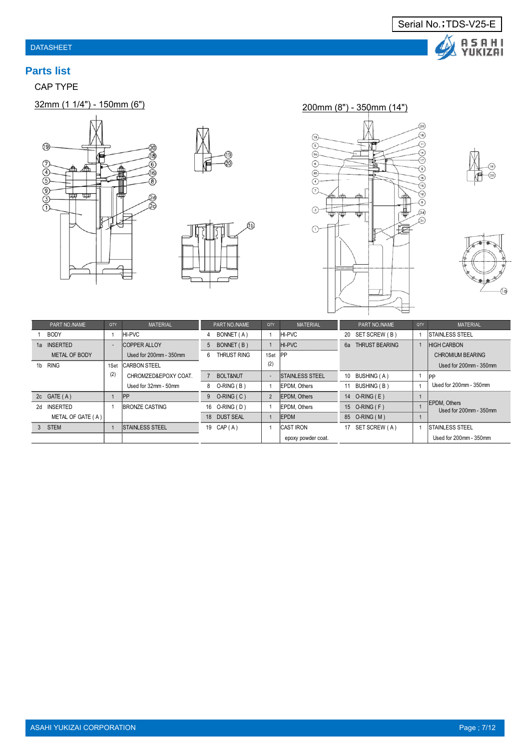

# **Parts list**

CAP TYPE















|    | PART NO./NAME     | QTY  | <b>MATERIAL</b>        |   | PART NO./NAME  | <b>QTY</b> | <b>MATERIAL</b>        |    | PART NO./NAME         | QTY | <b>MATERIAL</b>                        |
|----|-------------------|------|------------------------|---|----------------|------------|------------------------|----|-----------------------|-----|----------------------------------------|
|    | <b>BODY</b>       |      | HI-PVC                 |   | BONNET (A)     |            | <b>HI-PVC</b>          | 20 | SET SCREW (B)         |     | <b>ISTAINLESS STEEL</b>                |
| 1а | <b>INSERTED</b>   |      | <b>COPPER ALLOY</b>    |   | 5 BONNET (B)   |            | <b>IHI-PVC</b>         | 6а | <b>THRUST BEARING</b> |     | <b>HIGH CARBON</b>                     |
|    | METAL OF BODY     |      | Used for 200mm - 350mm | 6 | THRUST RING    | 1Set       | PP                     |    |                       |     | CHROMIUM BEARING                       |
|    | 1b RING           | 1Set | ICARBON STEEL          |   |                | (2)        |                        |    |                       |     | Used for 200mm - 350mm                 |
|    |                   | (2)  | CHROMZED&EPOXY COAT.   |   | 7 BOLT&NUT     | $\sim$     | <b>STAINLESS STEEL</b> |    | 10 BUSHING (A)        |     | <b>IPP</b>                             |
|    |                   |      | Used for 32mm - 50mm   |   | 8 O-RING (B)   |            | <b>IEPDM.</b> Others   | 11 | BUSHING (B)           |     | Used for 200mm - 350mm                 |
|    | 2c $GATE(A)$      |      | <b>IPP</b>             |   | $9$ O-RING (C) | 2          | <b>EPDM.</b> Others    |    | 14 O-RING (E)         |     |                                        |
| 24 | <b>INSERTED</b>   |      | IBRONZE CASTING        |   | 16 O-RING (D)  |            | <b>IEPDM.</b> Others   |    | 15 O-RING (F)         |     | EPDM, Others<br>Used for 200mm - 350mm |
|    | METAL OF GATE (A) |      |                        |   | 18 DUST SEAL   |            | <b>IEPDM</b>           |    | 85 O-RING (M)         |     |                                        |
|    | 3 STEM            |      | <b>STAINLESS STEEL</b> |   | 19 CAP (A)     |            | <b>CAST IRON</b>       | 17 | SET SCREW (A)         |     | <b>STAINLESS STEEL</b>                 |
|    |                   |      |                        |   |                |            | epoxy powder coat.     |    |                       |     | Used for 200mm - 350mm                 |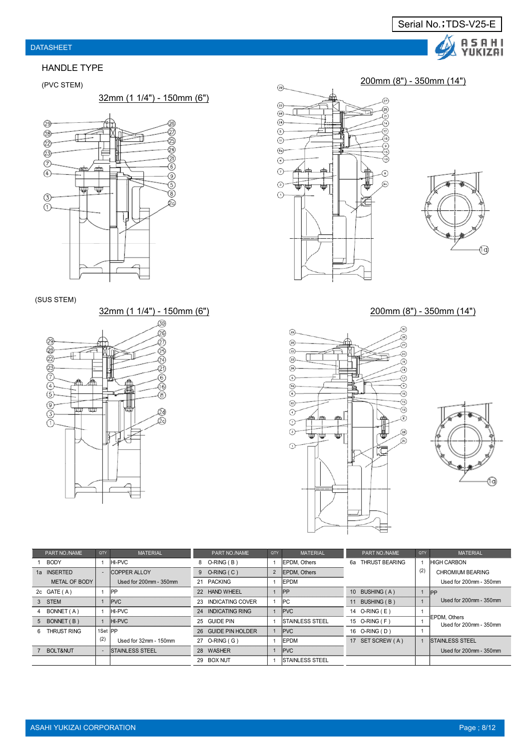#### HANDLE TYPE

32mm (1 1/4") - 150mm (6")



#### (SUS STEM)







### 32mm (1 1/4") - 150mm (6") 200mm (8") - 350mm (14")





|    | PART NO /NAME | QTY             | <b>MATERIAL</b>             | PART NO./NAME       | QTY | <b>MATERIAL</b>         | PART NO /NAME     | <b>OTY</b> | <b>MATERIAL</b>                        |
|----|---------------|-----------------|-----------------------------|---------------------|-----|-------------------------|-------------------|------------|----------------------------------------|
|    | <b>BODY</b>   |                 | <b>IHI-PVC</b>              | 8 O-RING (B)        |     | <b>IEPDM.</b> Others    | 6a THRUST BEARING |            | <b>IHIGH CARBON</b>                    |
|    | 1a INSERTED   |                 | <b>COPPER ALLOY</b>         | $9$ O-RING (C)      |     | 2 EPDM, Others          |                   | (2)        | CHROMIUM BEARING                       |
|    | METAL OF BODY |                 | Used for $200$ mm $-350$ mm | 21 PACKING          |     | <b>IEPDM</b>            |                   |            | Used for 200mm - 350mm                 |
|    | 2c $GATE(A)$  |                 | <b>IPP</b>                  | 22 HAND WHEEL       |     | <b>IPP</b>              | 10 BUSHING (A)    |            | PP                                     |
|    | 3 STEM        |                 | PVC                         | 23 INDICATING COVER |     | IPC.                    | 11 BUSHING (B)    |            | Used for $200$ mm $-350$ mm            |
|    | BONNET (A)    |                 | HI-PVC                      | 24 INDICATING RING  |     | <b>PVC</b>              | 14 O-RING (E)     |            |                                        |
|    | 5 BONNET (B)  |                 | $H-PVC$                     | 25 GUIDE PIN        |     | <b>STAINLESS STEEL</b>  | 15 O-RING (F)     |            | EPDM. Others<br>Used for 200mm - 350mm |
| 6. | THRUST RING   | 1Set <b>IPP</b> |                             | 26 GUIDE PIN HOLDER |     | <b>PVC</b>              | 16 O-RING (D)     |            |                                        |
|    |               | (2)             | Used for 32mm - 150mm       | 27 O-RING (G)       |     | <b>IEPDM</b>            | 17 SET SCREW (A)  |            | <b>ISTAINLESS STEEL</b>                |
|    | 7 BOLT&NUT    |                 | <b>STAINLESS STEEL</b>      | 28 WASHER           |     | PVC                     |                   |            | Used for 200mm - 350mm                 |
|    |               |                 |                             | 29 BOX NUT          |     | <b>ISTAINLESS STEEL</b> |                   |            |                                        |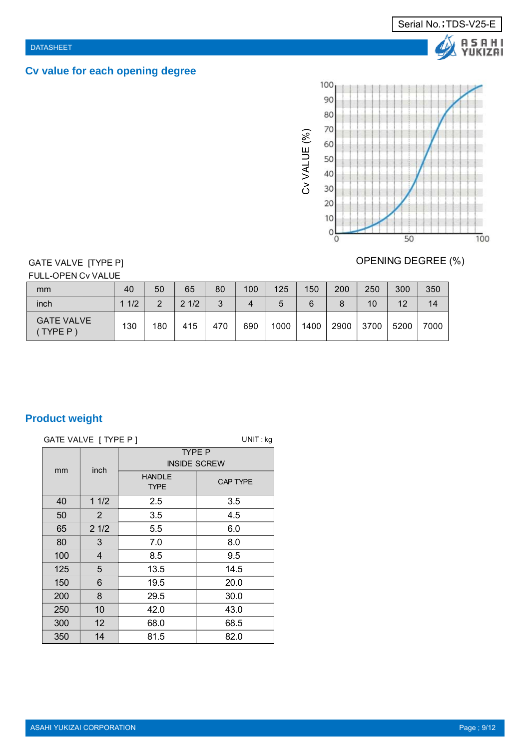# **Cv value for each opening degree**



# GATE VALVE [TYPE P]

FULL-OPEN Cv VALUE

| mm                          | 40  | 50  | 65   | 80  | 100 | 125  | 150  | 200  | 250  | 300  | 350  |
|-----------------------------|-----|-----|------|-----|-----|------|------|------|------|------|------|
| inch                        | 1/2 | ◠   | 21/2 | 3   | 4   | :C   | 6    |      | 10   | 12   | 14   |
| <b>GATE VALVE</b><br>TYPE P | 130 | 180 | 415  | 470 | 690 | 1000 | 1400 | 2900 | 3700 | 5200 | 7000 |

# **Product weight**

|     | GATE VALVE   TYPE P ] |                              | $UNIT:$ kg                           |  |  |  |  |
|-----|-----------------------|------------------------------|--------------------------------------|--|--|--|--|
| mm  |                       |                              | <b>TYPE P</b><br><b>INSIDE SCREW</b> |  |  |  |  |
|     | inch                  | <b>HANDLE</b><br><b>TYPE</b> | <b>CAP TYPE</b>                      |  |  |  |  |
| 40  | 11/2                  | 2.5                          | 3.5                                  |  |  |  |  |
| 50  | $\overline{2}$        | 3.5                          | 4.5                                  |  |  |  |  |
| 65  | 21/2                  | 5.5                          | 6.0                                  |  |  |  |  |
| 80  | 3                     | 7.0                          | 8.0                                  |  |  |  |  |
| 100 | 4                     | 8.5                          | 9.5                                  |  |  |  |  |
| 125 | 5                     | 13.5                         | 14.5                                 |  |  |  |  |
| 150 | 6                     | 19.5                         | 20.0                                 |  |  |  |  |
| 200 | 8                     | 29.5                         | 30.0                                 |  |  |  |  |
| 250 | 10                    | 42.0                         | 43.0                                 |  |  |  |  |
| 300 | 12 <sub>2</sub>       | 68.0                         | 68.5                                 |  |  |  |  |
| 350 | 14                    | 81.5                         | 82.0                                 |  |  |  |  |

# OPENING DEGREE (%)

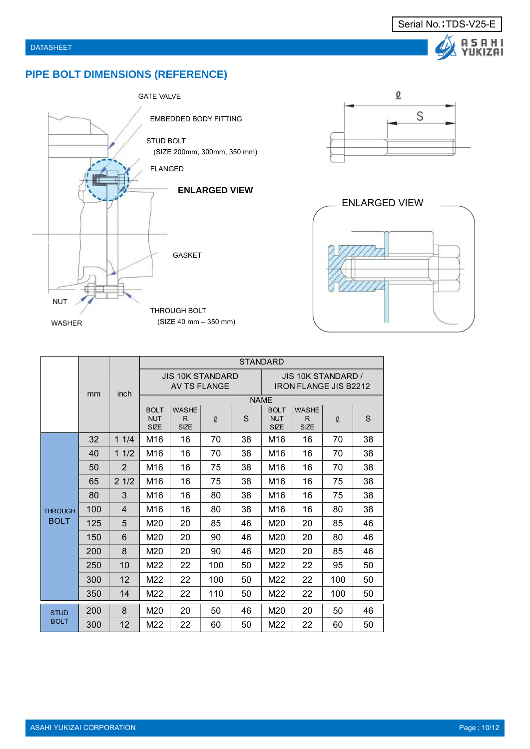# **PIPE BOLT DIMENSIONS (REFERENCE)**





Serial No.; TDS-V25-E

A S A H I<br>YUKIZAI



|                            |     |      | <b>STANDARD</b>                          |                            |     |    |                                                    |                                  |          |    |  |
|----------------------------|-----|------|------------------------------------------|----------------------------|-----|----|----------------------------------------------------|----------------------------------|----------|----|--|
|                            | mm  | inch | <b>JIS 10K STANDARD</b><br>AV TS FLANGE  |                            |     |    | JIS 10K STANDARD /<br><b>IRON FLANGE JIS B2212</b> |                                  |          |    |  |
|                            |     |      | <b>NAME</b>                              |                            |     |    |                                                    |                                  |          |    |  |
|                            |     |      | <b>BOLT</b><br><b>NUT</b><br><b>SIZE</b> | WASHE<br>R.<br><b>SIZE</b> | l   | S  | <b>BOLT</b><br><b>NUT</b><br><b>SIZE</b>           | <b>WASHE</b><br>R<br><b>SIZE</b> | $\Omega$ | S  |  |
|                            | 32  | 11/4 | M16                                      | 16                         | 70  | 38 | M16                                                | 16                               | 70       | 38 |  |
|                            | 40  | 11/2 | M16                                      | 16                         | 70  | 38 | M16                                                | 16                               | 70       | 38 |  |
|                            | 50  | 2    | M16                                      | 16                         | 75  | 38 | M16                                                | 16                               | 70       | 38 |  |
|                            | 65  | 21/2 | M16                                      | 16                         | 75  | 38 | M16                                                | 16                               | 75       | 38 |  |
|                            | 80  | 3    | M16                                      | 16                         | 80  | 38 | M16                                                | 16                               | 75       | 38 |  |
| <b>THROUGH</b>             | 100 | 4    | M16                                      | 16                         | 80  | 38 | M16                                                | 16                               | 80       | 38 |  |
| <b>BOLT</b>                | 125 | 5    | M20                                      | 20                         | 85  | 46 | M20                                                | 20                               | 85       | 46 |  |
|                            | 150 | 6    | M20                                      | 20                         | 90  | 46 | M20                                                | 20                               | 80       | 46 |  |
|                            | 200 | 8    | M20                                      | 20                         | 90  | 46 | M20                                                | 20                               | 85       | 46 |  |
|                            | 250 | 10   | M22                                      | 22                         | 100 | 50 | M22                                                | 22                               | 95       | 50 |  |
|                            | 300 | 12   | M22                                      | 22                         | 100 | 50 | M22                                                | 22                               | 100      | 50 |  |
|                            | 350 | 14   | M22                                      | 22                         | 110 | 50 | M22                                                | 22                               | 100      | 50 |  |
| <b>STUD</b><br><b>BOLT</b> | 200 | 8    | M20                                      | 20                         | 50  | 46 | M20                                                | 20                               | 50       | 46 |  |
|                            | 300 | 12   | M22                                      | 22                         | 60  | 50 | M22                                                | 22                               | 60       | 50 |  |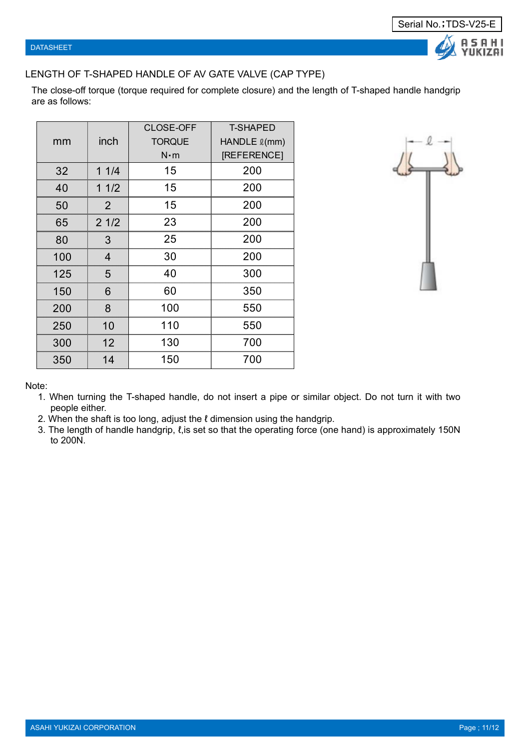# LENGTH OF T-SHAPED HANDLE OF AV GATE VALVE (CAP TYPE)

The close-off torque (torque required for complete closure) and the length of T-shaped handle handgrip are as follows:

|     |                | <b>CLOSE-OFF</b> | <b>T-SHAPED</b>      |
|-----|----------------|------------------|----------------------|
| mm  | inch           | <b>TORQUE</b>    | HANDLE <i>l</i> (mm) |
|     |                | $N \cdot m$      | [REFERENCE]          |
| 32  | 11/4           | 15               | 200                  |
| 40  | 11/2           | 15               | 200                  |
| 50  | 2              | 15               | 200                  |
| 65  | 21/2           | 23               | 200                  |
| 80  | 3              | 25               | 200                  |
| 100 | $\overline{4}$ | 30               | 200                  |
| 125 | 5              | 40               | 300                  |
| 150 | 6              | 60               | 350                  |
| 200 | 8              | 100              | 550                  |
| 250 | 10             | 110              | 550                  |
| 300 | 12             | 130              | 700                  |
| 350 | 14             | 150              | 700                  |



Note:

- 1. When turning the T-shaped handle, do not insert a pipe or similar object. Do not turn it with two people either.
- 2. When the shaft is too long, adjust the  $\ell$  dimension using the handgrip.
- 3. The length of handle handgrip,  $\ell$ , is set so that the operating force (one hand) is approximately 150N to 200N.